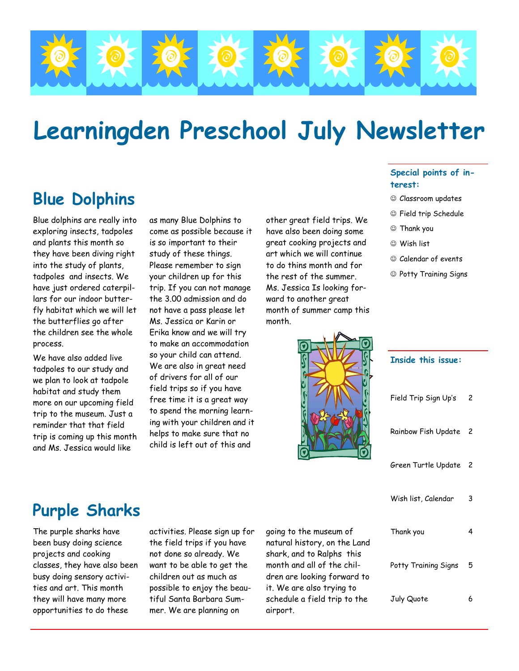

# **Learningden Preschool July Newsletter**

# **Blue Dolphins**

Blue dolphins are really into exploring insects, tadpoles and plants this month so they have been diving right into the study of plants, tadpoles and insects. We have just ordered caterpillars for our indoor butterfly habitat which we will let the butterflies go after the children see the whole process.

We have also added live tadpoles to our study and we plan to look at tadpole habitat and study them more on our upcoming field trip to the museum. Just a reminder that that field trip is coming up this month and Ms. Jessica would like

as many Blue Dolphins to come as possible because it is so important to their study of these things. Please remember to sign your children up for this trip. If you can not manage the 3.00 admission and do not have a pass please let Ms. Jessica or Karin or Erika know and we will try to make an accommodation so your child can attend. We are also in great need of drivers for all of our field trips so if you have free time it is a great way to spend the morning learning with your children and it helps to make sure that no child is left out of this and

other great field trips. We have also been doing some great cooking projects and art which we will continue to do thins month and for the rest of the summer. Ms. Jessica Is looking forward to another great month of summer camp this month.



#### **Special points of interest:**

- ☺ Classroom updates
- ☺ Field trip Schedule
- ☺ Thank you
- ☺ Wish list
- ☺ Calendar of events
- ☺ Potty Training Signs

|                                                                                                   | <b>Inside this issue:</b> |                |
|---------------------------------------------------------------------------------------------------|---------------------------|----------------|
|                                                                                                   | Field Trip Sign Up's      | 2              |
|                                                                                                   | Rainbow Fish Update 2     |                |
|                                                                                                   | Green Turtle Update       | $\overline{c}$ |
|                                                                                                   | Wish list, Calendar       | 3              |
| seum of<br>on the Land<br>alphs this<br>f the chil-<br>g forward to<br>trying to<br>l trip to the | Thank you                 | 4              |
|                                                                                                   | Potty Training Signs      | 5              |
|                                                                                                   | July Quote                | 6              |

# **Purple Sharks**

The purple sharks have been busy doing science projects and cooking classes, they have also been busy doing sensory activities and art. This month they will have many more opportunities to do these

activities. Please sign up for the field trips if you have not done so already. We want to be able to get the children out as much as possible to enjoy the beautiful Santa Barbara Summer. We are planning on

going to the mus natural history, shark, and to Ra month and all of dren are looking it. We are also t schedule a field airport.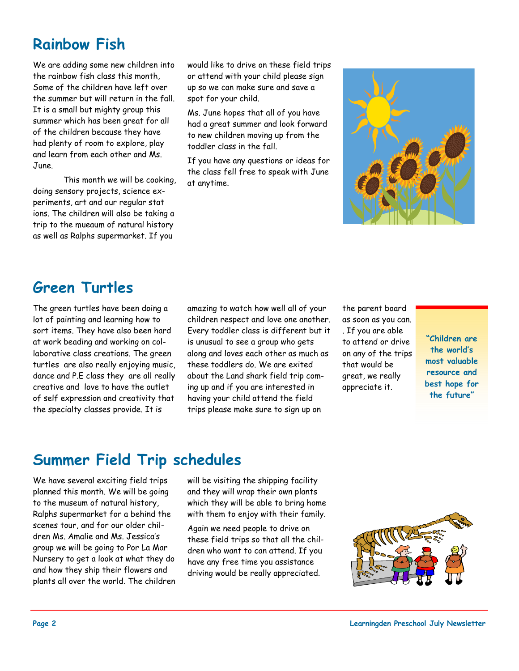# **Rainbow Fish**

We are adding some new children into the rainbow fish class this month, Some of the children have left over the summer but will return in the fall. It is a small but mighty group this summer which has been great for all of the children because they have had plenty of room to explore, play and learn from each other and Ms. June.

 This month we will be cooking, doing sensory projects, science experiments, art and our regular stat ions. The children will also be taking a trip to the mueaum of natural history as well as Ralphs supermarket. If you

would like to drive on these field trips or attend with your child please sign up so we can make sure and save a spot for your child.

Ms. June hopes that all of you have had a great summer and look forward to new children moving up from the toddler class in the fall.

If you have any questions or ideas for the class fell free to speak with June at anytime.



#### **Green Turtles**

The green turtles have been doing a lot of painting and learning how to sort items. They have also been hard at work beading and working on collaborative class creations. The green turtles are also really enjoying music, dance and P.E class they are all really creative and love to have the outlet of self expression and creativity that the specialty classes provide. It is

amazing to watch how well all of your children respect and love one another. Every toddler class is different but it is unusual to see a group who gets along and loves each other as much as these toddlers do. We are exited about the Land shark field trip coming up and if you are interested in having your child attend the field trips please make sure to sign up on

the parent board as soon as you can. . If you are able to attend or drive on any of the trips that would be great, we really appreciate it.

**"Children are the world's most valuable resource and best hope for the future"** 

### **Summer Field Trip schedules**

We have several exciting field trips planned this month. We will be going to the museum of natural history, Ralphs supermarket for a behind the scenes tour, and for our older children Ms. Amalie and Ms. Jessica's group we will be going to Por La Mar Nursery to get a look at what they do and how they ship their flowers and plants all over the world. The children will be visiting the shipping facility and they will wrap their own plants which they will be able to bring home with them to enjoy with their family.

Again we need people to drive on these field trips so that all the children who want to can attend. If you have any free time you assistance driving would be really appreciated.

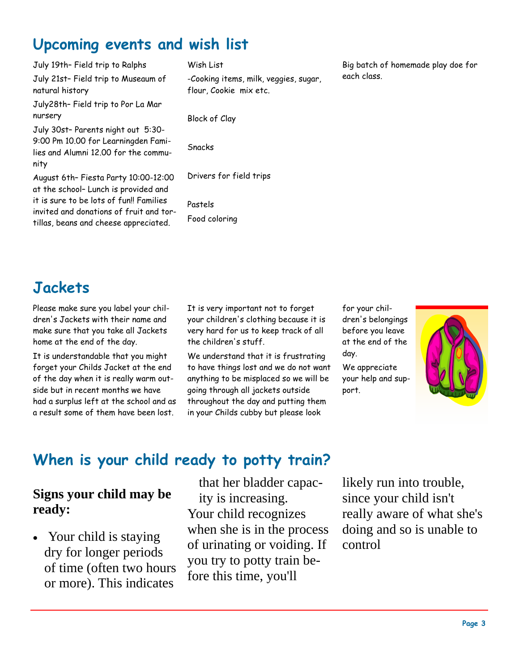# **Upcoming events and wish list**

July 19th– Field trip to Ralphs

July 21st– Field trip to Museaum of natural history

July28th– Field trip to Por La Mar nursery

July 30st– Parents night out 5:30- 9:00 Pm 10.00 for Learningden Families and Alumni 12.00 for the community

August 6th– Fiesta Party 10:00-12:00 at the school– Lunch is provided and it is sure to be lots of fun!! Families invited and donations of fruit and tortillas, beans and cheese appreciated.

Wish List

-Cooking items, milk, veggies, sugar, flour, Cookie mix etc.

Block of Clay

Snacks

Drivers for field trips

Pastels Food coloring Big batch of homemade play doe for each class.

## **Jackets**

Please make sure you label your children's Jackets with their name and make sure that you take all Jackets home at the end of the day.

It is understandable that you might forget your Childs Jacket at the end of the day when it is really warm outside but in recent months we have had a surplus left at the school and as a result some of them have been lost.

It is very important not to forget your children's clothing because it is very hard for us to keep track of all the children's stuff.

We understand that it is frustrating to have things lost and we do not want anything to be misplaced so we will be going through all jackets outside throughout the day and putting them in your Childs cubby but please look

for your children's belongings before you leave at the end of the day.

We appreciate your help and support.



### **When is your child ready to potty train?**

#### **Signs your child may be ready:**

• Your child is staying dry for longer periods of time (often two hours or more). This indicates

that her bladder capacity is increasing. Your child recognizes when she is in the process of urinating or voiding. If you try to potty train before this time, you'll

likely run into trouble, since your child isn't really aware of what she's doing and so is unable to control